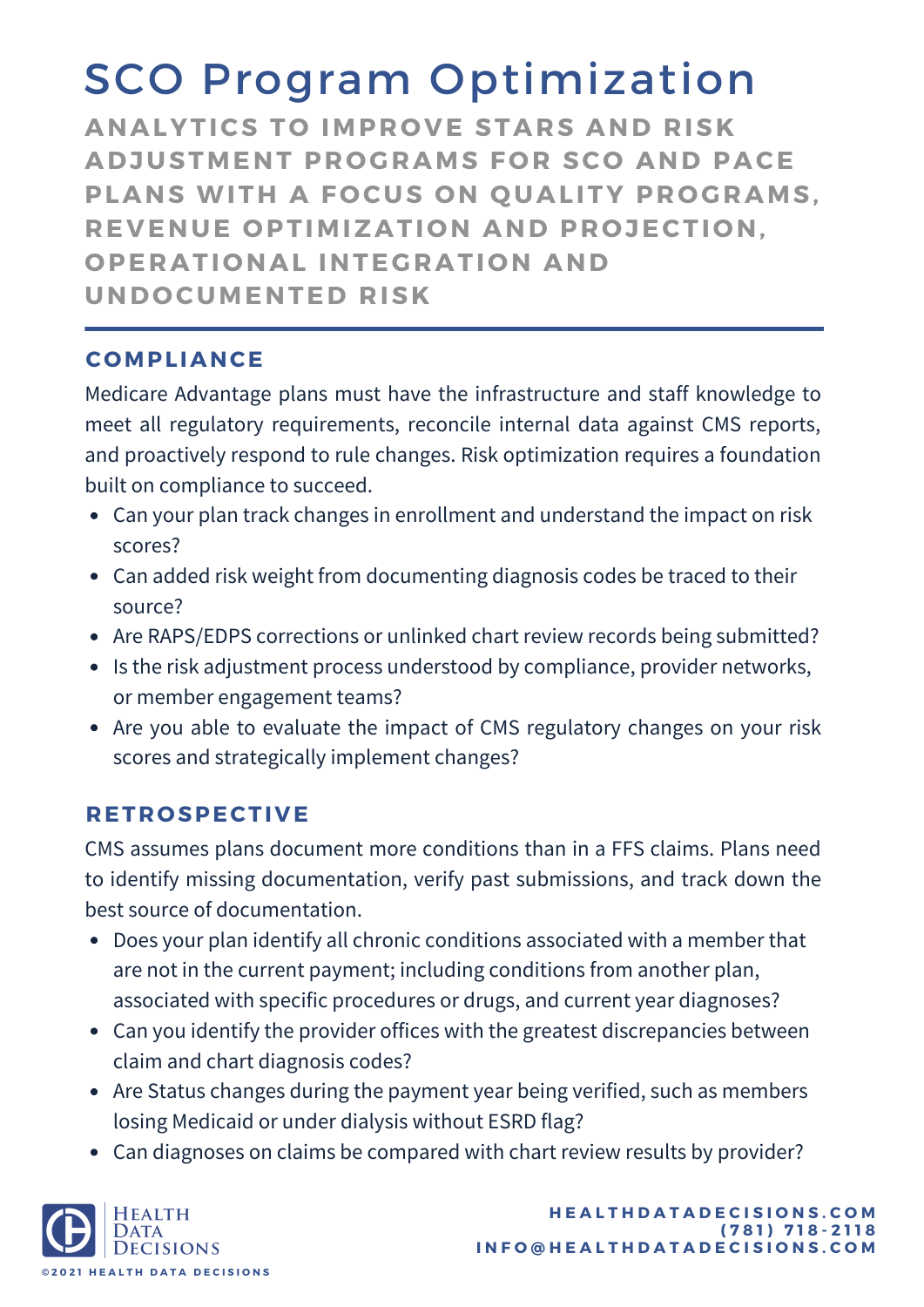# SCO Program Optimization

**ANALYTICS TO IMPROVE STARS AND RISK ADJUSTMENT PR O GRAMS F O R SC O AND PACE PLANS WITH A F O CUS O N Q UALITY PR O GRAMS, REVENUE OPTIMIZATION AND PROJECTION. OPERATIONAL INTEGRATION AND UND O CUMENTED RISK**

#### **C OMPLIANCE**

Medicare Advantage plans must have the infrastructure and staff knowledge to meet all regulatory requirements, reconcile internal data against CMS reports, and proactively respond to rule changes. Risk optimization requires a foundation built on compliance to succeed.

- Can your plan track changes in enrollment and understand the impact on risk scores?
- Can added risk weight from documenting diagnosis codes be traced to their source?
- Are RAPS/EDPS corrections or unlinked chart review records being submitted?
- Is the risk adjustment process understood by compliance, provider networks, or member engagement teams?
- Are you able to evaluate the impact of CMS regulatory changes on your risk scores and strategically implement changes?

### **RETR O SPECTIVE**

CMS assumes plans document more conditions than in a FFS claims. Plans need to identify missing documentation, verify past submissions, and track down the best source of documentation.

- Does your plan identify all chronic conditions associated with a member that are not in the current payment; including conditions from another plan, associated with specific procedures or drugs, and current year diagnoses?
- Can you identify the provider offices with the greatest discrepancies between claim and chart diagnosis codes?
- Are Status changes during the payment year being verified, such as members losing Medicaid or under dialysis without ESRD flag?
- Can diagnoses on claims be compared with chart review results by provider?